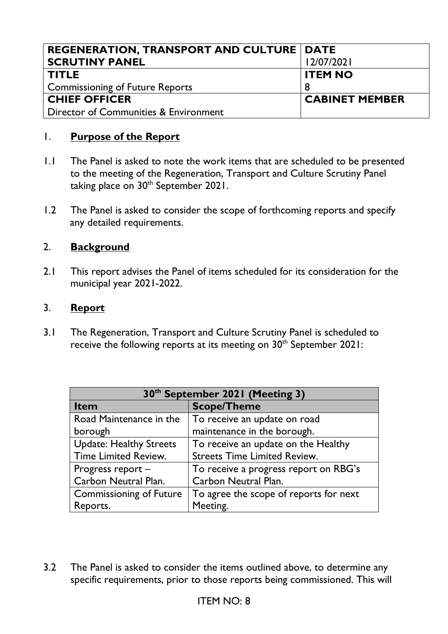| <b>REGENERATION, TRANSPORT AND CULTURE   DATE</b> |                       |
|---------------------------------------------------|-----------------------|
| <b>SCRUTINY PANEL</b>                             | 12/07/2021            |
| <b>TITLE</b>                                      | <b>ITEM NO</b>        |
| Commissioning of Future Reports                   |                       |
| <b>CHIEF OFFICER</b>                              | <b>CABINET MEMBER</b> |
| Director of Communities & Environment             |                       |

## 1. **Purpose of the Report**

- 1.1 The Panel is asked to note the work items that are scheduled to be presented to the meeting of the Regeneration, Transport and Culture Scrutiny Panel taking place on 30<sup>th</sup> September 2021.
- 1.2 The Panel is asked to consider the scope of forthcoming reports and specify any detailed requirements.

## 2. **Background**

2.1 This report advises the Panel of items scheduled for its consideration for the municipal year 2021-2022.

## 3. **Report**

3.1 The Regeneration, Transport and Culture Scrutiny Panel is scheduled to receive the following reports at its meeting on 30<sup>th</sup> September 2021:

| 30 <sup>th</sup> September 2021 (Meeting 3) |                                        |  |
|---------------------------------------------|----------------------------------------|--|
| <b>Item</b>                                 | <b>Scope/Theme</b>                     |  |
| Road Maintenance in the                     | To receive an update on road           |  |
| borough                                     | maintenance in the borough.            |  |
| <b>Update: Healthy Streets</b>              | To receive an update on the Healthy    |  |
| <b>Time Limited Review.</b>                 | <b>Streets Time Limited Review.</b>    |  |
| Progress report -                           | To receive a progress report on RBG's  |  |
| Carbon Neutral Plan.                        | Carbon Neutral Plan.                   |  |
| <b>Commissioning of Future</b>              | To agree the scope of reports for next |  |
| Reports.                                    | Meeting.                               |  |

3.2 The Panel is asked to consider the items outlined above, to determine any specific requirements, prior to those reports being commissioned. This will